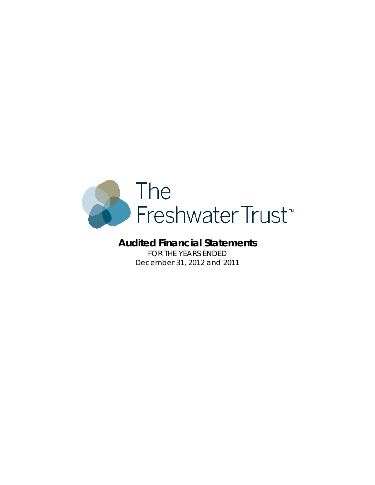

## **Audited Financial Statements**

FOR THE YEARS ENDED December 31, 2012 and 2011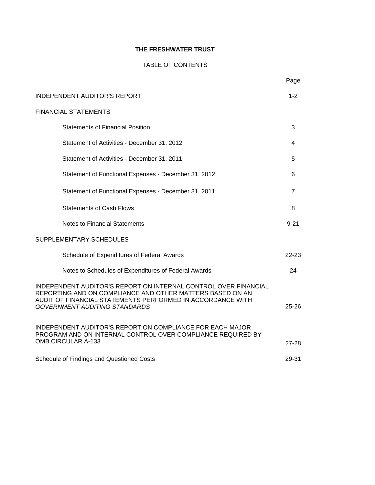### **THE FRESHWATER TRUST**

### TABLE OF CONTENTS

Page

| INDEPENDENT AUDITOR'S REPORT                                                                                                                                                                                                       | $1 - 2$        |
|------------------------------------------------------------------------------------------------------------------------------------------------------------------------------------------------------------------------------------|----------------|
| <b>FINANCIAL STATEMENTS</b>                                                                                                                                                                                                        |                |
| <b>Statements of Financial Position</b>                                                                                                                                                                                            | 3              |
| Statement of Activities - December 31, 2012                                                                                                                                                                                        | 4              |
| Statement of Activities - December 31, 2011                                                                                                                                                                                        | 5              |
| Statement of Functional Expenses - December 31, 2012                                                                                                                                                                               | 6              |
| Statement of Functional Expenses - December 31, 2011                                                                                                                                                                               | $\overline{7}$ |
| <b>Statements of Cash Flows</b>                                                                                                                                                                                                    | 8              |
| <b>Notes to Financial Statements</b>                                                                                                                                                                                               | $9 - 21$       |
| SUPPLEMENTARY SCHEDULES                                                                                                                                                                                                            |                |
| Schedule of Expenditures of Federal Awards                                                                                                                                                                                         | $22 - 23$      |
| Notes to Schedules of Expenditures of Federal Awards                                                                                                                                                                               | 24             |
| INDEPENDENT AUDITOR'S REPORT ON INTERNAL CONTROL OVER FINANCIAL<br>REPORTING AND ON COMPLIANCE AND OTHER MATTERS BASED ON AN<br>AUDIT OF FINANCIAL STATEMENTS PERFORMED IN ACCORDANCE WITH<br><b>GOVERNMENT AUDITING STANDARDS</b> | $25 - 26$      |
| INDEPENDENT AUDITOR'S REPORT ON COMPLIANCE FOR EACH MAJOR<br>PROGRAM AND ON INTERNAL CONTROL OVER COMPLIANCE REQUIRED BY<br><b>OMB CIRCULAR A-133</b>                                                                              | 27-28          |
| Schedule of Findings and Questioned Costs                                                                                                                                                                                          | 29-31          |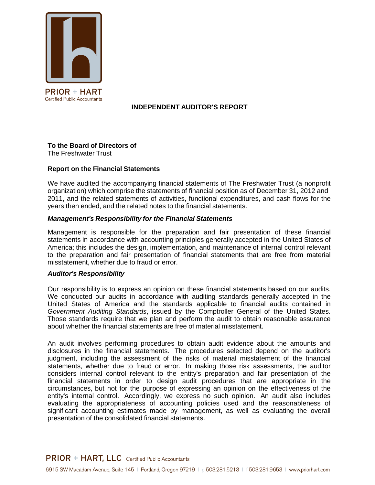

### **INDEPENDENT AUDITOR'S REPORT**

### **To the Board of Directors of**

The Freshwater Trust

### **Report on the Financial Statements**

We have audited the accompanying financial statements of The Freshwater Trust (a nonprofit organization) which comprise the statements of financial position as of December 31, 2012 and 2011, and the related statements of activities, functional expenditures, and cash flows for the years then ended, and the related notes to the financial statements.

### *Management's Responsibility for the Financial Statements*

Management is responsible for the preparation and fair presentation of these financial statements in accordance with accounting principles generally accepted in the United States of America; this includes the design, implementation, and maintenance of internal control relevant to the preparation and fair presentation of financial statements that are free from material misstatement, whether due to fraud or error.

### *Auditor's Responsibility*

Our responsibility is to express an opinion on these financial statements based on our audits. We conducted our audits in accordance with auditing standards generally accepted in the United States of America and the standards applicable to financial audits contained in *Government Auditing Standards*, issued by the Comptroller General of the United States. Those standards require that we plan and perform the audit to obtain reasonable assurance about whether the financial statements are free of material misstatement.

An audit involves performing procedures to obtain audit evidence about the amounts and disclosures in the financial statements. The procedures selected depend on the auditor's judgment, including the assessment of the risks of material misstatement of the financial statements, whether due to fraud or error. In making those risk assessments, the auditor considers internal control relevant to the entity's preparation and fair presentation of the financial statements in order to design audit procedures that are appropriate in the circumstances, but not for the purpose of expressing an opinion on the effectiveness of the entity's internal control. Accordingly, we express no such opinion. An audit also includes evaluating the appropriateness of accounting policies used and the reasonableness of significant accounting estimates made by management, as well as evaluating the overall presentation of the consolidated financial statements.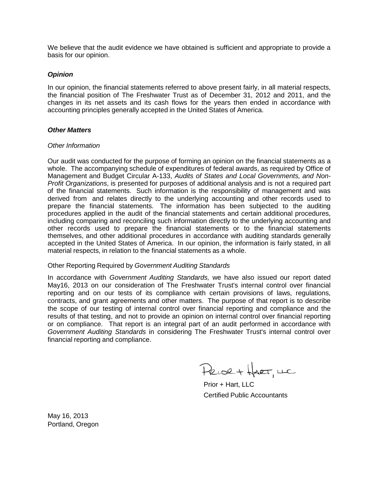We believe that the audit evidence we have obtained is sufficient and appropriate to provide a basis for our opinion.

### *Opinion*

In our opinion, the financial statements referred to above present fairly, in all material respects, the financial position of The Freshwater Trust as of December 31, 2012 and 2011, and the changes in its net assets and its cash flows for the years then ended in accordance with accounting principles generally accepted in the United States of America.

### *Other Matters*

### *Other Information*

Our audit was conducted for the purpose of forming an opinion on the financial statements as a whole. The accompanying schedule of expenditures of federal awards, as required by Office of Management and Budget Circular A-133, *Audits of States and Local Governments, and Non-Profit Organizations*, is presented for purposes of additional analysis and is not a required part of the financial statements. Such information is the responsibility of management and was derived from and relates directly to the underlying accounting and other records used to prepare the financial statements. The information has been subjected to the auditing procedures applied in the audit of the financial statements and certain additional procedures, including comparing and reconciling such information directly to the underlying accounting and other records used to prepare the financial statements or to the financial statements themselves, and other additional procedures in accordance with auditing standards generally accepted in the United States of America. In our opinion, the information is fairly stated, in all material respects, in relation to the financial statements as a whole.

### Other Reporting Required by *Government Auditing Standards*

In accordance with *Government Auditing Standards,* we have also issued our report dated May16, 2013 on our consideration of The Freshwater Trust's internal control over financial reporting and on our tests of its compliance with certain provisions of laws, regulations, contracts, and grant agreements and other matters. The purpose of that report is to describe the scope of our testing of internal control over financial reporting and compliance and the results of that testing, and not to provide an opinion on internal control over financial reporting or on compliance. That report is an integral part of an audit performed in accordance with *Government Auditing Standards* in considering The Freshwater Trust's internal control over financial reporting and compliance.

PRIOR + HART, LLC

Certified Public Accountants

May 16, 2013 Portland, Oregon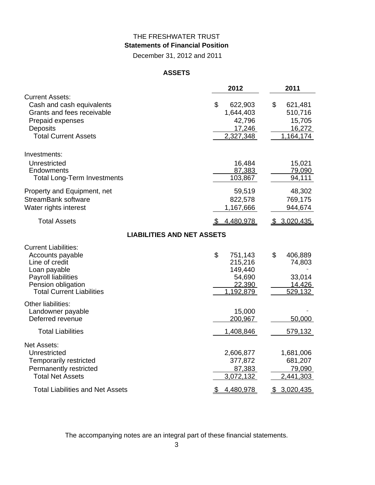## THE FRESHWATER TRUST **Statements of Financial Position**

December 31, 2012 and 2011

## **ASSETS**

|                                                                                                                                                                    | 2012                                                                 | 2011                                                      |
|--------------------------------------------------------------------------------------------------------------------------------------------------------------------|----------------------------------------------------------------------|-----------------------------------------------------------|
| <b>Current Assets:</b><br>Cash and cash equivalents<br>Grants and fees receivable<br>Prepaid expenses<br><b>Deposits</b><br><b>Total Current Assets</b>            | \$<br>622,903<br>1,644,403<br>42,796<br>17,246<br>2,327,348          | \$<br>621,481<br>510,716<br>15,705<br>16,272<br>1,164,174 |
|                                                                                                                                                                    |                                                                      |                                                           |
| Investments:<br>Unrestricted<br>Endowments<br><b>Total Long-Term Investments</b>                                                                                   | 16,484<br>87,383<br>103,867                                          | 15,021<br>79,090<br>94,111                                |
| Property and Equipment, net<br>StreamBank software<br>Water rights interest                                                                                        | 59,519<br>822,578<br>1,167,666                                       | 48,302<br>769,175<br>944,674                              |
| <b>Total Assets</b>                                                                                                                                                | 4,480,978                                                            | <u>\$3,020,435</u>                                        |
|                                                                                                                                                                    | <b>LIABILITIES AND NET ASSETS</b>                                    |                                                           |
| <b>Current Liabilities:</b><br>Accounts payable<br>Line of credit<br>Loan payable<br>Payroll liabilities<br>Pension obligation<br><b>Total Current Liabilities</b> | \$<br>751,143<br>215,216<br>149,440<br>54,690<br>22,390<br>1,192,879 | \$<br>406,889<br>74,803<br>33,014<br>14,426<br>529,132    |
| Other liabilities:<br>Landowner payable<br>Deferred revenue                                                                                                        | 15,000<br>200,967                                                    | 50,000                                                    |
| <b>Total Liabilities</b>                                                                                                                                           | 1,408,846                                                            | 579,132                                                   |
| Net Assets:<br>Unrestricted<br>Temporarily restricted<br>Permanently restricted<br><b>Total Net Assets</b>                                                         | 2,606,877<br>377,872<br>87,383<br>3,072,132                          | 1,681,006<br>681,207<br>79,090<br>2,441,303               |
| <b>Total Liabilities and Net Assets</b>                                                                                                                            | 4,480,978<br>\$                                                      | 3,020,435<br>\$                                           |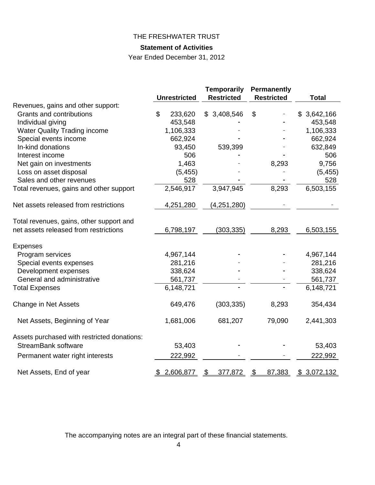### THE FRESHWATER TRUST

### **Statement of Activities**

Year Ended December 31, 2012

|                                             |                     | <b>Temporarily</b>        | <b>Permanently</b>       |              |
|---------------------------------------------|---------------------|---------------------------|--------------------------|--------------|
|                                             | <b>Unrestricted</b> | <b>Restricted</b>         | <b>Restricted</b>        | <b>Total</b> |
| Revenues, gains and other support:          |                     |                           |                          |              |
| Grants and contributions                    | \$<br>233,620       | \$3,408,546               | \$                       | 3,642,166    |
| Individual giving                           | 453,548             |                           |                          | 453,548      |
| <b>Water Quality Trading income</b>         | 1,106,333           |                           |                          | 1,106,333    |
| Special events income                       | 662,924             |                           |                          | 662,924      |
| In-kind donations                           | 93,450              | 539,399                   |                          | 632,849      |
| Interest income                             | 506                 |                           |                          | 506          |
| Net gain on investments                     | 1,463               |                           | 8,293                    | 9,756        |
| Loss on asset disposal                      | (5, 455)            |                           |                          | (5, 455)     |
| Sales and other revenues                    | 528                 |                           |                          | 528          |
| Total revenues, gains and other support     | 2,546,917           | 3,947,945                 | 8,293                    | 6,503,155    |
| Net assets released from restrictions       | 4,251,280           | (4,251,280)               |                          |              |
| Total revenues, gains, other support and    |                     |                           |                          |              |
| net assets released from restrictions       | 6,798,197           | (303, 335)                | 8,293                    | 6,503,155    |
| <b>Expenses</b>                             |                     |                           |                          |              |
| Program services                            | 4,967,144           |                           |                          | 4,967,144    |
| Special events expenses                     | 281,216             |                           |                          | 281,216      |
| Development expenses                        | 338,624             |                           |                          | 338,624      |
| General and administrative                  | 561,737             |                           |                          | 561,737      |
| <b>Total Expenses</b>                       | 6,148,721           |                           |                          | 6,148,721    |
| Change in Net Assets                        | 649,476             | (303, 335)                | 8,293                    | 354,434      |
| Net Assets, Beginning of Year               | 1,681,006           | 681,207                   | 79,090                   | 2,441,303    |
| Assets purchased with restricted donations: |                     |                           |                          |              |
| StreamBank software                         | 53,403              |                           |                          | 53,403       |
| Permanent water right interests             | 222,992             |                           |                          | 222,992      |
| Net Assets, End of year                     | \$2,606,877         | $\mathfrak{F}$<br>377,872 | $\mathfrak{F}$<br>87,383 | \$3,072,132  |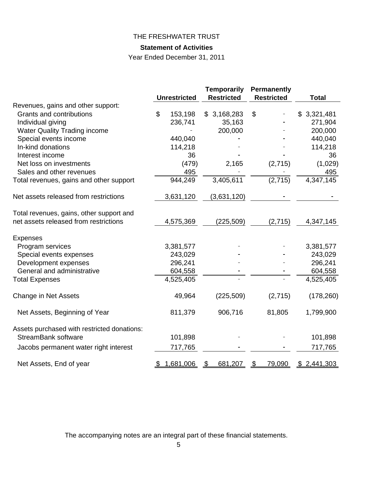### THE FRESHWATER TRUST

### **Statement of Activities**

Year Ended December 31, 2011

|                                             |           |                     |            | <b>Temporarily</b> |                | <b>Permanently</b> |              |         |
|---------------------------------------------|-----------|---------------------|------------|--------------------|----------------|--------------------|--------------|---------|
|                                             |           | <b>Unrestricted</b> |            | <b>Restricted</b>  |                | <b>Restricted</b>  | <b>Total</b> |         |
| Revenues, gains and other support:          |           |                     |            |                    |                |                    |              |         |
| Grants and contributions                    | \$        | 153,198             | \$         | 3,168,283          | \$             |                    | \$3,321,481  |         |
| Individual giving                           |           | 236,741             |            | 35,163             |                |                    | 271,904      |         |
| <b>Water Quality Trading income</b>         |           |                     |            | 200,000            |                |                    | 200,000      |         |
| Special events income                       |           | 440,040             |            |                    |                |                    | 440,040      |         |
| In-kind donations                           |           | 114,218             |            |                    |                |                    | 114,218      |         |
| Interest income                             |           | 36                  |            |                    |                |                    |              | 36      |
| Net loss on investments                     |           | (479)               |            | 2,165              |                | (2,715)            |              | (1,029) |
| Sales and other revenues                    |           | 495                 |            |                    |                |                    |              | 495     |
| Total revenues, gains and other support     |           | 944,249             |            | 3,405,611          |                | (2,715)            | 4,347,145    |         |
| Net assets released from restrictions       |           | 3,631,120           |            | (3,631,120)        |                |                    |              |         |
| Total revenues, gains, other support and    |           |                     |            |                    |                |                    |              |         |
| net assets released from restrictions       |           | 4,575,369           |            | (225, 509)         |                | (2,715)            | 4,347,145    |         |
| <b>Expenses</b>                             |           |                     |            |                    |                |                    |              |         |
| Program services                            |           | 3,381,577           |            |                    |                |                    | 3,381,577    |         |
| Special events expenses                     |           | 243,029             |            |                    |                |                    | 243,029      |         |
| Development expenses                        |           | 296,241             |            |                    |                |                    | 296,241      |         |
| General and administrative                  |           | 604,558             |            |                    |                |                    | 604,558      |         |
| <b>Total Expenses</b>                       |           | 4,525,405           |            |                    |                |                    | 4,525,405    |         |
| Change in Net Assets                        |           | 49,964              |            | (225, 509)         |                | (2,715)            | (178, 260)   |         |
| Net Assets, Beginning of Year               |           | 811,379             |            | 906,716            |                | 81,805             | 1,799,900    |         |
| Assets purchased with restricted donations: |           |                     |            |                    |                |                    |              |         |
| <b>StreamBank software</b>                  |           | 101,898             |            |                    |                |                    | 101,898      |         |
| Jacobs permanent water right interest       |           | 717,765             |            |                    |                |                    | 717,765      |         |
| Net Assets, End of year                     | <u>\$</u> | 1,681,006           | $\sqrt{2}$ | 681,207            | $\mathfrak{F}$ | 79,090             | \$2,441,303  |         |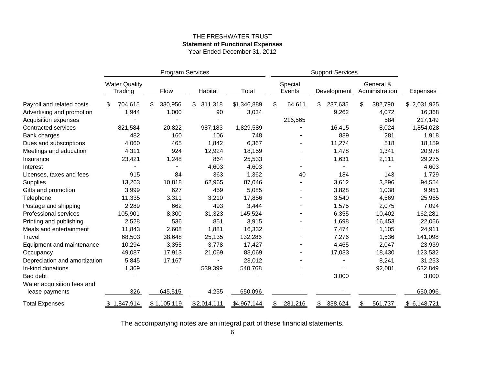#### THE FRESHWATER TRUST **Statement of Functional Expenses** Year Ended December 31, 2012

|                               | <b>Program Services</b>         |                |             |             |                   |                |                             |             |
|-------------------------------|---------------------------------|----------------|-------------|-------------|-------------------|----------------|-----------------------------|-------------|
|                               | <b>Water Quality</b><br>Trading | Flow           | Habitat     | Total       | Special<br>Events | Development    | General &<br>Administration | Expenses    |
| Payroll and related costs     | 704,615                         | 330,956<br>\$. | \$311,318   | \$1,346,889 | 64,611<br>\$.     | 237,635<br>\$. | \$<br>382,790               | \$2,031,925 |
| Advertising and promotion     | 1,944                           | 1,000          | 90          | 3,034       |                   | 9,262          | 4,072                       | 16,368      |
| Acquisition expenses          |                                 |                |             |             | 216,565           |                | 584                         | 217,149     |
| Contracted services           | 821,584                         | 20,822         | 987,183     | 1,829,589   |                   | 16,415         | 8,024                       | 1,854,028   |
| Bank charges                  | 482                             | 160            | 106         | 748         |                   | 889            | 281                         | 1,918       |
| Dues and subscriptions        | 4,060                           | 465            | 1,842       | 6,367       |                   | 11,274         | 518                         | 18,159      |
| Meetings and education        | 4,311                           | 924            | 12,924      | 18,159      |                   | 1,478          | 1,341                       | 20,978      |
| Insurance                     | 23,421                          | 1,248          | 864         | 25,533      |                   | 1,631          | 2,111                       | 29,275      |
| Interest                      |                                 |                | 4,603       | 4,603       |                   |                |                             | 4,603       |
| Licenses, taxes and fees      | 915                             | 84             | 363         | 1,362       | 40                | 184            | 143                         | 1,729       |
| <b>Supplies</b>               | 13,263                          | 10,818         | 62,965      | 87,046      |                   | 3,612          | 3,896                       | 94,554      |
| Gifts and promotion           | 3,999                           | 627            | 459         | 5,085       |                   | 3,828          | 1,038                       | 9,951       |
| Telephone                     | 11,335                          | 3,311          | 3,210       | 17,856      |                   | 3,540          | 4,569                       | 25,965      |
| Postage and shipping          | 2,289                           | 662            | 493         | 3,444       |                   | 1,575          | 2,075                       | 7,094       |
| <b>Professional services</b>  | 105,901                         | 8,300          | 31,323      | 145,524     |                   | 6,355          | 10,402                      | 162,281     |
| Printing and publishing       | 2,528                           | 536            | 851         | 3,915       |                   | 1,698          | 16,453                      | 22,066      |
| Meals and entertainment       | 11,843                          | 2,608          | 1,881       | 16,332      |                   | 7,474          | 1,105                       | 24,911      |
| Travel                        | 68,503                          | 38,648         | 25,135      | 132,286     |                   | 7,276          | 1,536                       | 141,098     |
| Equipment and maintenance     | 10,294                          | 3,355          | 3,778       | 17,427      |                   | 4,465          | 2,047                       | 23,939      |
| Occupancy                     | 49,087                          | 17,913         | 21,069      | 88,069      |                   | 17,033         | 18,430                      | 123,532     |
| Depreciation and amortization | 5,845                           | 17,167         |             | 23,012      |                   |                | 8,241                       | 31,253      |
| In-kind donations             | 1,369                           |                | 539,399     | 540,768     |                   |                | 92,081                      | 632,849     |
| Bad debt                      |                                 |                |             |             |                   | 3,000          |                             | 3,000       |
| Water acquisition fees and    |                                 |                |             |             |                   |                |                             |             |
| lease payments                | 326                             | 645,515        | 4,255       | 650,096     |                   |                |                             | 650,096     |
| <b>Total Expenses</b>         | \$1,847,914                     | \$1,105,119    | \$2,014,111 | \$4,967,144 | 281,216<br>\$     | 338,624<br>\$  | 561,737<br>\$               | \$6,148,721 |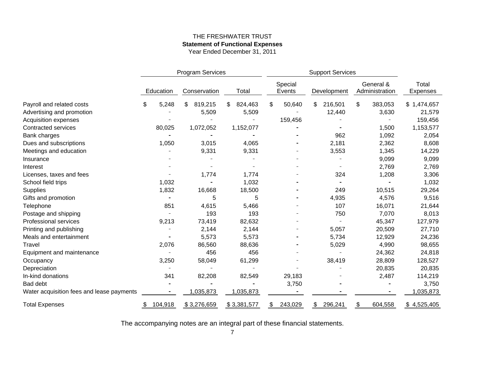#### THE FRESHWATER TRUST **Statement of Functional Expenses** Year Ended December 31, 2011

|                                           | <b>Program Services</b> |                |               |                   |               |                             |                   |
|-------------------------------------------|-------------------------|----------------|---------------|-------------------|---------------|-----------------------------|-------------------|
|                                           | Education               | Conservation   | Total         | Special<br>Events | Development   | General &<br>Administration | Total<br>Expenses |
| Payroll and related costs                 | 5,248<br>\$.            | 819,215<br>\$. | 824,463<br>S. | \$<br>50,640      | 216,501<br>S  | 383,053<br>\$               | \$1,474,657       |
| Advertising and promotion                 |                         | 5,509          | 5,509         |                   | 12,440        | 3,630                       | 21,579            |
| Acquisition expenses                      |                         |                |               | 159,456           |               |                             | 159,456           |
| Contracted services                       | 80,025                  | 1,072,052      | 1,152,077     |                   |               | 1,500                       | 1,153,577         |
| Bank charges                              |                         |                |               |                   | 962           | 1,092                       | 2,054             |
| Dues and subscriptions                    | 1,050                   | 3,015          | 4,065         |                   | 2,181         | 2,362                       | 8,608             |
| Meetings and education                    |                         | 9,331          | 9,331         |                   | 3,553         | 1,345                       | 14,229            |
| Insurance                                 |                         |                |               |                   |               | 9,099                       | 9,099             |
| Interest                                  |                         |                |               |                   |               | 2,769                       | 2,769             |
| Licenses, taxes and fees                  |                         | 1,774          | 1,774         |                   | 324           | 1,208                       | 3,306             |
| School field trips                        | 1,032                   |                | 1,032         |                   |               |                             | 1,032             |
| <b>Supplies</b>                           | 1,832                   | 16,668         | 18,500        |                   | 249           | 10,515                      | 29,264            |
| Gifts and promotion                       |                         | 5              | 5             |                   | 4,935         | 4,576                       | 9,516             |
| Telephone                                 | 851                     | 4,615          | 5,466         |                   | 107           | 16,071                      | 21,644            |
| Postage and shipping                      |                         | 193            | 193           |                   | 750           | 7,070                       | 8,013             |
| Professional services                     | 9,213                   | 73,419         | 82,632        |                   |               | 45,347                      | 127,979           |
| Printing and publishing                   |                         | 2,144          | 2,144         |                   | 5,057         | 20,509                      | 27,710            |
| Meals and entertainment                   |                         | 5,573          | 5,573         |                   | 5,734         | 12,929                      | 24,236            |
| Travel                                    | 2,076                   | 86,560         | 88,636        |                   | 5,029         | 4,990                       | 98,655            |
| Equipment and maintenance                 |                         | 456            | 456           |                   |               | 24,362                      | 24,818            |
| Occupancy                                 | 3,250                   | 58,049         | 61,299        |                   | 38,419        | 28,809                      | 128,527           |
| Depreciation                              |                         |                |               |                   |               | 20,835                      | 20,835            |
| In-kind donations                         | 341                     | 82,208         | 82,549        | 29,183            |               | 2,487                       | 114,219           |
| <b>Bad debt</b>                           |                         |                |               | 3,750             |               |                             | 3,750             |
| Water acquisition fees and lease payments |                         | 1,035,873      | 1,035,873     |                   |               |                             | 1,035,873         |
| <b>Total Expenses</b>                     | 104,918                 | \$3,276,659    | \$3,381,577   | 243,029<br>\$.    | 296,241<br>\$ | 604,558                     | \$4,525,405       |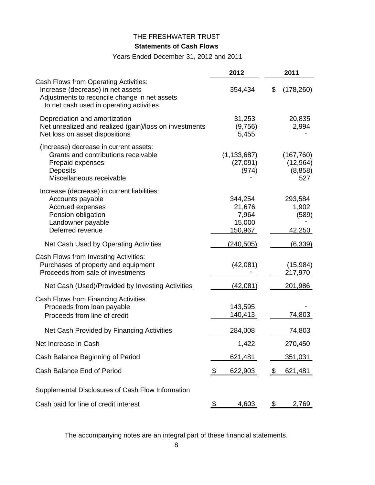#### THE FRESHWATER TRUST

### **Statements of Cash Flows**

Years Ended December 31, 2012 and 2011

|                                                                                                                                                                         | 2012                                            | 2011                                      |
|-------------------------------------------------------------------------------------------------------------------------------------------------------------------------|-------------------------------------------------|-------------------------------------------|
| Cash Flows from Operating Activities:<br>Increase (decrease) in net assets<br>Adjustments to reconcile change in net assets<br>to net cash used in operating activities | 354,434                                         | \$<br>(178, 260)                          |
| Depreciation and amortization<br>Net unrealized and realized (gain)/loss on investments<br>Net loss on asset dispositions                                               | 31,253<br>(9,756)<br>5,455                      | 20,835<br>2,994                           |
| (Increase) decrease in current assets:<br>Grants and contributions receivable<br>Prepaid expenses<br>Deposits<br>Miscellaneous receivable                               | (1, 133, 687)<br>(27,091)<br>(974)              | (167, 760)<br>(12, 964)<br>(8,858)<br>527 |
| Increase (decrease) in current liabilities:<br>Accounts payable<br>Accrued expenses<br>Pension obligation<br>Landowner payable<br>Deferred revenue                      | 344,254<br>21,676<br>7,964<br>15,000<br>150,967 | 293,584<br>1,902<br>(589)<br>42,250       |
| Net Cash Used by Operating Activities                                                                                                                                   | (240, 505)                                      | (6, 339)                                  |
| Cash Flows from Investing Activities:<br>Purchases of property and equipment<br>Proceeds from sale of investments                                                       | (42,081)                                        | (15,984)<br>217,970                       |
| Net Cash (Used)/Provided by Investing Activities                                                                                                                        | (42,081)                                        | 201,986                                   |
| Cash Flows from Financing Activities<br>Proceeds from loan payable<br>Proceeds from line of credit                                                                      | 143,595<br>140,413                              | 74,803                                    |
| Net Cash Provided by Financing Activities                                                                                                                               | 284,008                                         | 74,803                                    |
| Net Increase in Cash                                                                                                                                                    | 1,422                                           | 270,450                                   |
| Cash Balance Beginning of Period                                                                                                                                        | 621,481                                         | 351,031                                   |
| Cash Balance End of Period                                                                                                                                              | $\frac{1}{2}$<br>622,903                        | $\frac{1}{2}$<br>621,481                  |
| Supplemental Disclosures of Cash Flow Information                                                                                                                       |                                                 |                                           |
| Cash paid for line of credit interest                                                                                                                                   | \$<br>4,603                                     | \$<br>2,769                               |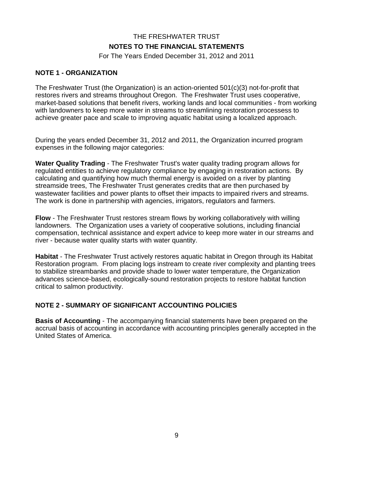For The Years Ended December 31, 2012 and 2011

### **NOTE 1 - ORGANIZATION**

The Freshwater Trust (the Organization) is an action-oriented 501(c)(3) not-for-profit that restores rivers and streams throughout Oregon. The Freshwater Trust uses cooperative, market-based solutions that benefit rivers, working lands and local communities - from working with landowners to keep more water in streams to streamlining restoration processess to achieve greater pace and scale to improving aquatic habitat using a localized approach.

During the years ended December 31, 2012 and 2011, the Organization incurred program expenses in the following major categories:

**Water Quality Trading** - The Freshwater Trust's water quality trading program allows for regulated entities to achieve regulatory compliance by engaging in restoration actions. By calculating and quantifying how much thermal energy is avoided on a river by planting streamside trees, The Freshwater Trust generates credits that are then purchased by wastewater facilities and power plants to offset their impacts to impaired rivers and streams. The work is done in partnership with agencies, irrigators, regulators and farmers.

**Flow** - The Freshwater Trust restores stream flows by working collaboratively with willing landowners. The Organization uses a variety of cooperative solutions, including financial compensation, technical assistance and expert advice to keep more water in our streams and river - because water quality starts with water quantity.

**Habitat** - The Freshwater Trust actively restores aquatic habitat in Oregon through its Habitat Restoration program. From placing logs instream to create river complexity and planting trees to stabilize streambanks and provide shade to lower water temperature, the Organization advances science-based, ecologically-sound restoration projects to restore habitat function critical to salmon productivity.

### **NOTE 2 - SUMMARY OF SIGNIFICANT ACCOUNTING POLICIES**

**Basis of Accounting** - The accompanying financial statements have been prepared on the accrual basis of accounting in accordance with accounting principles generally accepted in the United States of America.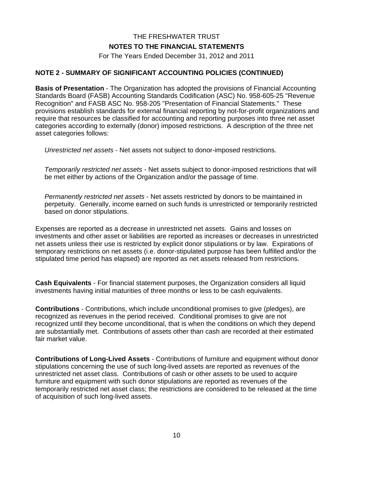For The Years Ended December 31, 2012 and 2011

### **NOTE 2 - SUMMARY OF SIGNIFICANT ACCOUNTING POLICIES (CONTINUED)**

**Basis of Presentation** - The Organization has adopted the provisions of Financial Accounting Standards Board (FASB) Accounting Standards Codification (ASC) No. 958-605-25 "Revenue Recognition" and FASB ASC No. 958-205 "Presentation of Financial Statements." These provisions establish standards for external financial reporting by not-for-profit organizations and require that resources be classified for accounting and reporting purposes into three net asset categories according to externally (donor) imposed restrictions. A description of the three net asset categories follows:

*Unrestricted net assets* - Net assets not subject to donor-imposed restrictions.

*Temporarily restricted net assets* - Net assets subject to donor-imposed restrictions that will be met either by actions of the Organization and/or the passage of time.

*Permanently restricted net assets* - Net assets restricted by donors to be maintained in perpetuity. Generally, income earned on such funds is unrestricted or temporarily restricted based on donor stipulations.

Expenses are reported as a decrease in unrestricted net assets. Gains and losses on investments and other asset or liabilities are reported as increases or decreases in unrestricted net assets unless their use is restricted by explicit donor stipulations or by law. Expirations of temporary restrictions on net assets (i.e. donor-stipulated purpose has been fulfilled and/or the stipulated time period has elapsed) are reported as net assets released from restrictions.

**Cash Equivalents** - For financial statement purposes, the Organization considers all liquid investments having initial maturities of three months or less to be cash equivalents.

**Contributions** - Contributions, which include unconditional promises to give (pledges), are recognized as revenues in the period received. Conditional promises to give are not recognized until they become unconditional, that is when the conditions on which they depend are substantially met. Contributions of assets other than cash are recorded at their estimated fair market value.

**Contributions of Long-Lived Assets** - Contributions of furniture and equipment without donor stipulations concerning the use of such long-lived assets are reported as revenues of the unrestricted net asset class. Contributions of cash or other assets to be used to acquire furniture and equipment with such donor stipulations are reported as revenues of the temporarily restricted net asset class; the restrictions are considered to be released at the time of acquisition of such long-lived assets.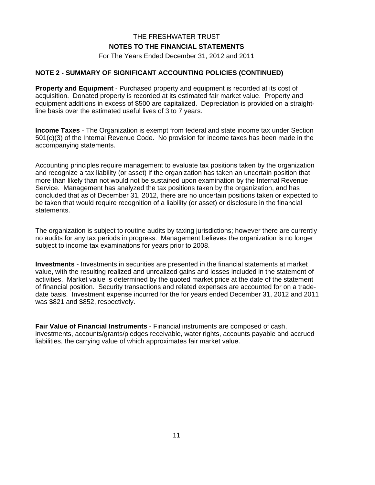For The Years Ended December 31, 2012 and 2011

### **NOTE 2 - SUMMARY OF SIGNIFICANT ACCOUNTING POLICIES (CONTINUED)**

**Property and Equipment** - Purchased property and equipment is recorded at its cost of acquisition. Donated property is recorded at its estimated fair market value. Property and equipment additions in excess of \$500 are capitalized. Depreciation is provided on a straightline basis over the estimated useful lives of 3 to 7 years.

**Income Taxes** - The Organization is exempt from federal and state income tax under Section 501(c)(3) of the Internal Revenue Code. No provision for income taxes has been made in the accompanying statements.

Accounting principles require management to evaluate tax positions taken by the organization and recognize a tax liability (or asset) if the organization has taken an uncertain position that more than likely than not would not be sustained upon examination by the Internal Revenue Service. Management has analyzed the tax positions taken by the organization, and has concluded that as of December 31, 2012, there are no uncertain positions taken or expected to be taken that would require recognition of a liability (or asset) or disclosure in the financial statements.

The organization is subject to routine audits by taxing jurisdictions; however there are currently no audits for any tax periods in progress. Management believes the organization is no longer subject to income tax examinations for years prior to 2008.

**Investments** - Investments in securities are presented in the financial statements at market value, with the resulting realized and unrealized gains and losses included in the statement of activities. Market value is determined by the quoted market price at the date of the statement of financial position. Security transactions and related expenses are accounted for on a tradedate basis. Investment expense incurred for the for years ended December 31, 2012 and 2011 was \$821 and \$852, respectively.

**Fair Value of Financial Instruments** - Financial instruments are composed of cash, investments, accounts/grants/pledges receivable, water rights, accounts payable and accrued liabilities, the carrying value of which approximates fair market value.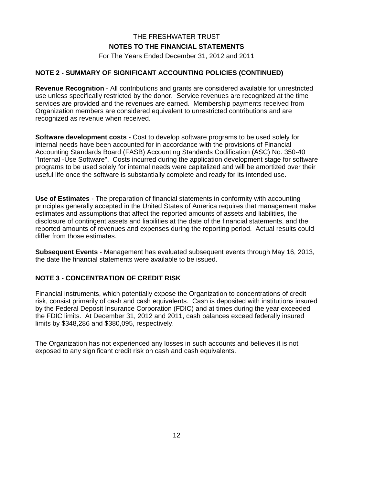For The Years Ended December 31, 2012 and 2011

### **NOTE 2 - SUMMARY OF SIGNIFICANT ACCOUNTING POLICIES (CONTINUED)**

**Revenue Recognition** - All contributions and grants are considered available for unrestricted use unless specifically restricted by the donor. Service revenues are recognized at the time services are provided and the revenues are earned. Membership payments received from Organization members are considered equivalent to unrestricted contributions and are recognized as revenue when received.

**Software development costs** - Cost to develop software programs to be used solely for internal needs have been accounted for in accordance with the provisions of Financial Accounting Standards Board (FASB) Accounting Standards Codification (ASC) No. 350-40 "Internal -Use Software". Costs incurred during the application development stage for software programs to be used solely for internal needs were capitalized and will be amortized over their useful life once the software is substantially complete and ready for its intended use.

**Use of Estimates** - The preparation of financial statements in conformity with accounting principles generally accepted in the United States of America requires that management make estimates and assumptions that affect the reported amounts of assets and liabilities, the disclosure of contingent assets and liabilities at the date of the financial statements, and the reported amounts of revenues and expenses during the reporting period. Actual results could differ from those estimates.

**Subsequent Events** - Management has evaluated subsequent events through May 16, 2013, the date the financial statements were available to be issued.

### **NOTE 3 - CONCENTRATION OF CREDIT RISK**

Financial instruments, which potentially expose the Organization to concentrations of credit risk, consist primarily of cash and cash equivalents. Cash is deposited with institutions insured by the Federal Deposit Insurance Corporation (FDIC) and at times during the year exceeded the FDIC limits. At December 31, 2012 and 2011, cash balances exceed federally insured limits by \$348,286 and \$380,095, respectively.

The Organization has not experienced any losses in such accounts and believes it is not exposed to any significant credit risk on cash and cash equivalents.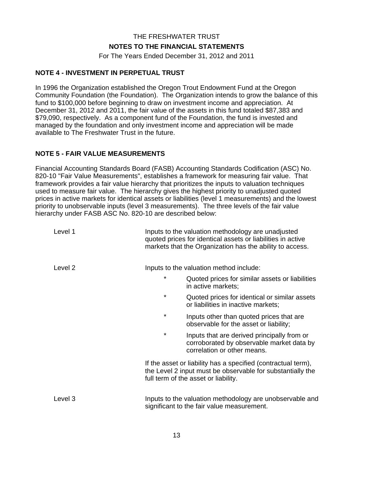For The Years Ended December 31, 2012 and 2011

### **NOTE 4 - INVESTMENT IN PERPETUAL TRUST**

In 1996 the Organization established the Oregon Trout Endowment Fund at the Oregon Community Foundation (the Foundation). The Organization intends to grow the balance of this fund to \$100,000 before beginning to draw on investment income and appreciation. At December 31, 2012 and 2011, the fair value of the assets in this fund totaled \$87,383 and \$79,090, respectively. As a component fund of the Foundation, the fund is invested and managed by the foundation and only investment income and appreciation will be made available to The Freshwater Trust in the future.

### **NOTE 5 - FAIR VALUE MEASUREMENTS**

Financial Accounting Standards Board (FASB) Accounting Standards Codification (ASC) No. 820-10 "Fair Value Measurements", establishes a framework for measuring fair value. That framework provides a fair value hierarchy that prioritizes the inputs to valuation techniques used to measure fair value. The hierarchy gives the highest priority to unadjusted quoted prices in active markets for identical assets or liabilities (level 1 measurements) and the lowest priority to unobservable inputs (level 3 measurements). The three levels of the fair value hierarchy under FASB ASC No. 820-10 are described below:

| Level 1 | Inputs to the valuation methodology are unadjusted<br>quoted prices for identical assets or liabilities in active<br>markets that the Organization has the ability to access. |
|---------|-------------------------------------------------------------------------------------------------------------------------------------------------------------------------------|
| Level 2 | Inputs to the valuation method include:                                                                                                                                       |
|         | $\star$<br>Quoted prices for similar assets or liabilities<br>in active markets;                                                                                              |
|         | *<br>Quoted prices for identical or similar assets<br>or liabilities in inactive markets;                                                                                     |
|         | *<br>Inputs other than quoted prices that are<br>observable for the asset or liability;                                                                                       |
|         | $\star$<br>Inputs that are derived principally from or<br>corroborated by observable market data by<br>correlation or other means.                                            |
|         | If the asset or liability has a specified (contractual term),<br>the Level 2 input must be observable for substantially the<br>full term of the asset or liability.           |
| Level 3 | Inputs to the valuation methodology are unobservable and<br>significant to the fair value measurement.                                                                        |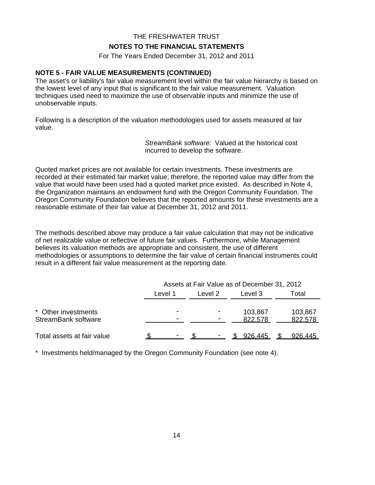#### THE FRESHWATER TRUST

### **NOTES TO THE FINANCIAL STATEMENTS**

For The Years Ended December 31, 2012 and 2011

### **NOTE 5 - FAIR VALUE MEASUREMENTS (CONTINUED)**

The asset's or liability's fair value measurement level within the fair value hierarchy is based on the lowest level of any input that is significant to the fair value measurement. Valuation techniques used need to maximize the use of observable inputs and minimize the use of unobservable inputs.

Following is a description of the valuation methodologies used for assets measured at fair value.

> *StreamBank software:* Valued at the historical cost incurred to develop the software.

Quoted market prices are not available for certain investments. These investments are recorded at their estimated fair market value; therefore, the reported value may differ from the value that would have been used had a quoted market price existed. As described in Note 4, the Organization maintains an endowment fund with the Oregon Community Foundation. The Oregon Community Foundation believes that the reported amounts for these investments are a reasonable estimate of their fair value at December 31, 2012 and 2011.

The methods described above may produce a fair value calculation that may not be indicative of net realizable value or reflective of future fair values. Furthermore, while Management believes its valuation methods are appropriate and consistent, the use of different methodologies or assumptions to determine the fair value of certain financial instruments could result in a different fair value measurement at the reporting date.

|                                            | Assets at Fair Value as of December 31, 2012 |         |                    |                    |  |  |  |
|--------------------------------------------|----------------------------------------------|---------|--------------------|--------------------|--|--|--|
|                                            | Level 1                                      | Level 2 | Level 3            | Total              |  |  |  |
| * Other investments<br>StreamBank software | $\overline{\phantom{0}}$                     |         | 103,867<br>822,578 | 103,867<br>822,578 |  |  |  |
| Total assets at fair value                 |                                              |         | \$926,445          | 926.445            |  |  |  |

\* Investments held/managed by the Oregon Community Foundation (see note 4).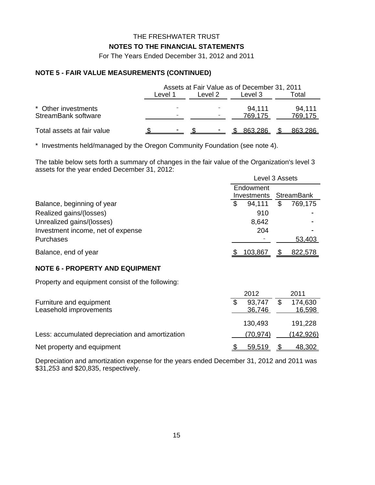For The Years Ended December 31, 2012 and 2011

### **NOTE 5 - FAIR VALUE MEASUREMENTS (CONTINUED)**

|                            | Assets at Fair Value as of December 31, 2011 |                          |         |                          |         |  |         |  |
|----------------------------|----------------------------------------------|--------------------------|---------|--------------------------|---------|--|---------|--|
|                            | Level 1                                      |                          | Level 2 |                          | Level 3 |  | Total   |  |
| * Other investments        |                                              | -                        |         |                          | 94.111  |  | 94.111  |  |
| StreamBank software        |                                              | $\overline{\phantom{0}}$ |         | $\overline{\phantom{0}}$ | 769.175 |  | 769,175 |  |
| Total assets at fair value |                                              |                          |         |                          | 863.286 |  | 863.286 |  |

\* Investments held/managed by the Oregon Community Foundation (see note 4).

The table below sets forth a summary of changes in the fair value of the Organization's level 3 assets for the year ended December 31, 2012:

|                                   | Level 3 Assets           |         |    |            |  |  |
|-----------------------------------|--------------------------|---------|----|------------|--|--|
|                                   | Endowment<br>Investments |         |    | StreamBank |  |  |
| Balance, beginning of year        | \$                       | 94,111  | \$ | 769,175    |  |  |
| Realized gains/(losses)           |                          | 910     |    |            |  |  |
| Unrealized gains/(losses)         |                          | 8,642   |    |            |  |  |
| Investment income, net of expense |                          | 204     |    |            |  |  |
| Purchases                         |                          |         |    | 53,403     |  |  |
| Balance, end of year              |                          | 103,867 |    | 822,578    |  |  |

### **NOTE 6 - PROPERTY AND EQUIPMENT**

Property and equipment consist of the following:

|                                                   | 2012                  | 2011                   |
|---------------------------------------------------|-----------------------|------------------------|
| Furniture and equipment<br>Leasehold improvements | 93,747<br>S<br>36,746 | 174,630<br>S<br>16,598 |
|                                                   | 130,493               | 191,228                |
| Less: accumulated depreciation and amortization   | (70, 974)             | (142, 926)             |
| Net property and equipment                        | 59,519                | 48,302                 |

Depreciation and amortization expense for the years ended December 31, 2012 and 2011 was \$31,253 and \$20,835, respectively.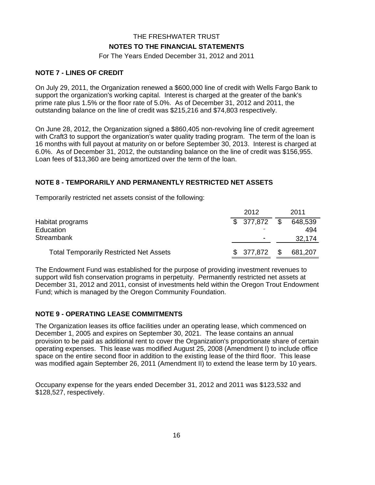For The Years Ended December 31, 2012 and 2011

### **NOTE 7 - LINES OF CREDIT**

On July 29, 2011, the Organization renewed a \$600,000 line of credit with Wells Fargo Bank to support the organization's working capital. Interest is charged at the greater of the bank's prime rate plus 1.5% or the floor rate of 5.0%. As of December 31, 2012 and 2011, the outstanding balance on the line of credit was \$215,216 and \$74,803 respectively.

On June 28, 2012, the Organization signed a \$860,405 non-revolving line of credit agreement with Craft3 to support the organization's water quality trading program. The term of the loan is 16 months with full payout at maturity on or before September 30, 2013. Interest is charged at 6.0%. As of December 31, 2012, the outstanding balance on the line of credit was \$156,955. Loan fees of \$13,360 are being amortized over the term of the loan.

### **NOTE 8 - TEMPORARILY AND PERMANENTLY RESTRICTED NET ASSETS**

Temporarily restricted net assets consist of the following:

|                                                | 2012          |      | 2011    |
|------------------------------------------------|---------------|------|---------|
| Habitat programs                               | \$377,872     | - \$ | 648,539 |
| Education                                      |               |      | 494     |
| <b>Streambank</b>                              |               |      | 32,174  |
| <b>Total Temporarily Restricted Net Assets</b> | $$377,872$ \$ |      | 681,207 |

The Endowment Fund was established for the purpose of providing investment revenues to support wild fish conservation programs in perpetuity. Permanently restricted net assets at December 31, 2012 and 2011, consist of investments held within the Oregon Trout Endowment Fund; which is managed by the Oregon Community Foundation.

### **NOTE 9 - OPERATING LEASE COMMITMENTS**

The Organization leases its office facilities under an operating lease, which commenced on December 1, 2005 and expires on September 30, 2021. The lease contains an annual provision to be paid as additional rent to cover the Organization's proportionate share of certain operating expenses. This lease was modified August 25, 2008 (Amendment I) to include office space on the entire second floor in addition to the existing lease of the third floor. This lease was modified again September 26, 2011 (Amendment II) to extend the lease term by 10 years.

Occupany expense for the years ended December 31, 2012 and 2011 was \$123,532 and \$128,527, respectively.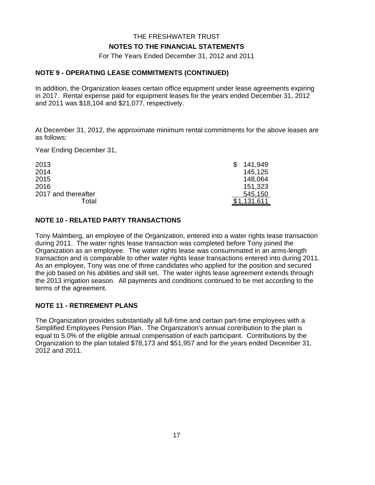For The Years Ended December 31, 2012 and 2011

### **NOTE 9 - OPERATING LEASE COMMITMENTS (CONTINUED)**

In addition, the Organization leases certain office equipment under lease agreements expiring in 2017. Rental expense paid for equipment leases for the years ended December 31, 2012 and 2011 was \$18,104 and \$21,077, respectively.

At December 31, 2012, the approximate minimum rental commitments for the above leases are as follows:

Year Ending December 31,

| 2013                | 141,949     |
|---------------------|-------------|
| 2014                | 145,125     |
| 2015                | 148,064     |
| 2016                | 151,323     |
| 2017 and thereafter | 545,150     |
| Total               | \$1,131,611 |

### **NOTE 10 - RELATED PARTY TRANSACTIONS**

Tony Malmberg, an employee of the Organization, entered into a water rights lease transaction during 2011. The water rights lease transaction was completed before Tony joined the Organization as an employee. The water rights lease was consummated in an arms-length transaction and is comparable to other water rights lease transactions entered into during 2011. As an employee, Tony was one of three candidates who applied for the position and secured the job based on his abilities and skill set. The water rights lease agreement extends through the 2013 irrigation season. All payments and conditions continued to be met according to the terms of the agreement.

### **NOTE 11 - RETIREMENT PLANS**

The Organization provides substantially all full-time and certain part-time employees with a Simplified Employees Pension Plan. The Organization's annual contribution to the plan is equal to 5.0% of the eligible annual compensation of each participant. Contributions by the Organization to the plan totaled \$78,173 and \$51,957 and for the years ended December 31, 2012 and 2011.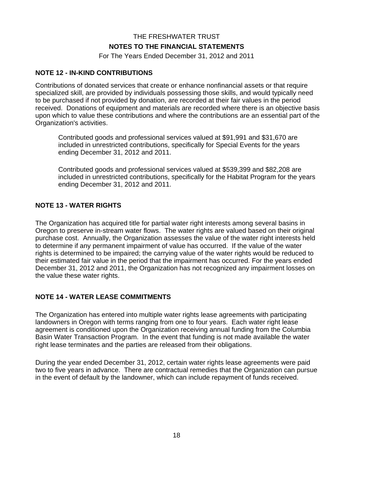For The Years Ended December 31, 2012 and 2011

### **NOTE 12 - IN-KIND CONTRIBUTIONS**

Contributions of donated services that create or enhance nonfinancial assets or that require specialized skill, are provided by individuals possessing those skills, and would typically need to be purchased if not provided by donation, are recorded at their fair values in the period received. Donations of equipment and materials are recorded where there is an objective basis upon which to value these contributions and where the contributions are an essential part of the Organization's activities.

Contributed goods and professional services valued at \$91,991 and \$31,670 are included in unrestricted contributions, specifically for Special Events for the years ending December 31, 2012 and 2011.

Contributed goods and professional services valued at \$539,399 and \$82,208 are included in unrestricted contributions, specifically for the Habitat Program for the years ending December 31, 2012 and 2011.

### **NOTE 13 - WATER RIGHTS**

The Organization has acquired title for partial water right interests among several basins in Oregon to preserve in-stream water flows. The water rights are valued based on their original purchase cost. Annually, the Organization assesses the value of the water right interests held to determine if any permanent impairment of value has occurred. If the value of the water rights is determined to be impaired; the carrying value of the water rights would be reduced to their estimated fair value in the period that the impairment has occurred. For the years ended December 31, 2012 and 2011, the Organization has not recognized any impairment losses on the value these water rights.

### **NOTE 14 - WATER LEASE COMMITMENTS**

The Organization has entered into multiple water rights lease agreements with participating landowners in Oregon with terms ranging from one to four years. Each water right lease agreement is conditioned upon the Organization receiving annual funding from the Columbia Basin Water Transaction Program. In the event that funding is not made available the water right lease terminates and the parties are released from their obligations.

During the year ended December 31, 2012, certain water rights lease agreements were paid two to five years in advance. There are contractual remedies that the Organization can pursue in the event of default by the landowner, which can include repayment of funds received.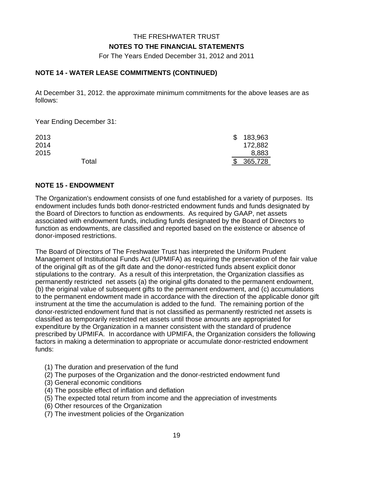For The Years Ended December 31, 2012 and 2011

### **NOTE 14 - WATER LEASE COMMITMENTS (CONTINUED)**

At December 31, 2012. the approximate minimum commitments for the above leases are as follows:

Year Ending December 31:

| 2013  | 183,963<br>\$ |
|-------|---------------|
| 2014  | 172,882       |
| 2015  | 8,883         |
| Total | 365,728       |

### **NOTE 15 - ENDOWMENT**

The Organization's endowment consists of one fund established for a variety of purposes. Its endowment includes funds both donor-restricted endowment funds and funds designated by the Board of Directors to function as endowments. As required by GAAP, net assets associated with endowment funds, including funds designated by the Board of Directors to function as endowments, are classified and reported based on the existence or absence of donor-imposed restrictions.

The Board of Directors of The Freshwater Trust has interpreted the Uniform Prudent Management of Institutional Funds Act (UPMIFA) as requiring the preservation of the fair value of the original gift as of the gift date and the donor-restricted funds absent explicit donor stipulations to the contrary. As a result of this interpretation, the Organization classifies as permanently restricted net assets (a) the original gifts donated to the permanent endowment, (b) the original value of subsequent gifts to the permanent endowment, and (c) accumulations to the permanent endowment made in accordance with the direction of the applicable donor gift instrument at the time the accumulation is added to the fund. The remaining portion of the donor-restricted endowment fund that is not classified as permanently restricted net assets is classified as temporarily restricted net assets until those amounts are appropriated for expenditure by the Organization in a manner consistent with the standard of prudence prescribed by UPMIFA. In accordance with UPMIFA, the Organization considers the following factors in making a determination to appropriate or accumulate donor-restricted endowment funds:

- (1) The duration and preservation of the fund
- (2) The purposes of the Organization and the donor-restricted endowment fund
- (3) General economic conditions
- (4) The possible effect of inflation and deflation
- (5) The expected total return from income and the appreciation of investments
- (6) Other resources of the Organization
- (7) The investment policies of the Organization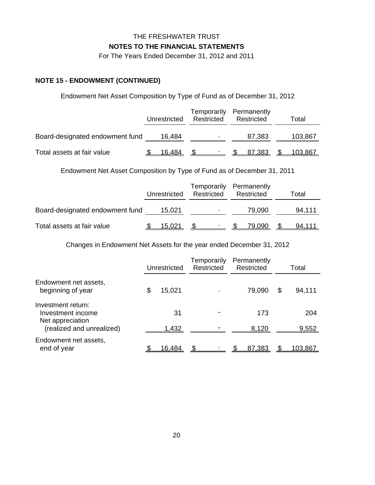For The Years Ended December 31, 2012 and 2011

### **NOTE 15 - ENDOWMENT (CONTINUED)**

Endowment Net Asset Composition by Type of Fund as of December 31, 2012

|                                 | Unrestricted | Restricted               | Temporarily Permanently<br>Restricted | Total   |
|---------------------------------|--------------|--------------------------|---------------------------------------|---------|
| Board-designated endowment fund | 16,484       | $\overline{\phantom{a}}$ | 87,383                                | 103,867 |
| Total assets at fair value      | 16.484       | $\alpha$                 | 87.383                                | 103.867 |

Endowment Net Asset Composition by Type of Fund as of December 31, 2011

|                                 | Unrestricted | Restricted |                          | Temporarily Permanently<br>Restricted | Total  |
|---------------------------------|--------------|------------|--------------------------|---------------------------------------|--------|
| Board-designated endowment fund | 15,021       |            | $\overline{\phantom{a}}$ | 79.090                                | 94,111 |
| Total assets at fair value      | 15 021       |            |                          | 79.090                                | 94 111 |

Changes in Endowment Net Assets for the year ended December 31, 2012

|                                                             | Unrestricted | Temporarily<br>Restricted | Permanently<br>Restricted | Total           |
|-------------------------------------------------------------|--------------|---------------------------|---------------------------|-----------------|
| Endowment net assets,<br>beginning of year                  | \$<br>15,021 |                           | 79,090                    | \$<br>94,111    |
| Investment return:<br>Investment income<br>Net appreciation | 31           |                           | 173                       | 204             |
| (realized and unrealized)                                   | 1,432        |                           | 8,120                     | 9,552           |
| Endowment net assets,<br>end of year                        | 16.484       |                           | 87.383                    | <u> 103.867</u> |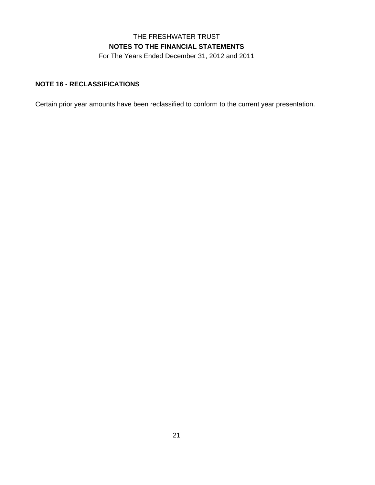For The Years Ended December 31, 2012 and 2011

## **NOTE 16 - RECLASSIFICATIONS**

Certain prior year amounts have been reclassified to conform to the current year presentation.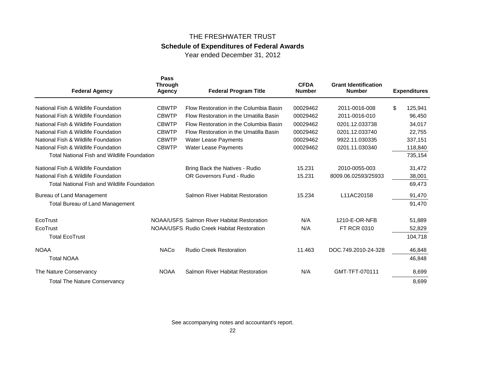## THE FRESHWATER TRUST**Schedule of Expenditures of Federal Awards** Year ended December 31, 2012

| <b>Federal Agency</b>                              | Pass<br><b>Through</b><br><b>Agency</b> | <b>Federal Program Title</b>                      | <b>CFDA</b><br><b>Number</b> | <b>Grant Identification</b><br><b>Number</b> | <b>Expenditures</b> |
|----------------------------------------------------|-----------------------------------------|---------------------------------------------------|------------------------------|----------------------------------------------|---------------------|
| National Fish & Wildlife Foundation                | <b>CBWTP</b>                            | Flow Restoration in the Columbia Basin            | 00029462                     | 2011-0016-008                                | \$<br>125,941       |
| National Fish & Wildlife Foundation                | <b>CBWTP</b>                            | Flow Restoration in the Umatilla Basin            | 00029462                     | 2011-0016-010                                | 96,450              |
| National Fish & Wildlife Foundation                | <b>CBWTP</b>                            | Flow Restoration in the Columbia Basin            | 00029462                     | 0201.12.033738                               | 34,017              |
| National Fish & Wildlife Foundation                | <b>CBWTP</b>                            | Flow Restoration in the Umatilla Basin            | 00029462                     | 0201.12.033740                               | 22.755              |
| National Fish & Wildlife Foundation                | <b>CBWTP</b>                            | <b>Water Lease Payments</b>                       | 00029462                     | 9922.11.030335                               | 337,151             |
| National Fish & Wildlife Foundation                | <b>CBWTP</b>                            | <b>Water Lease Payments</b>                       | 00029462                     | 0201.11.030340                               | 118,840             |
| <b>Total National Fish and Wildlife Foundation</b> |                                         |                                                   |                              |                                              | 735,154             |
| National Fish & Wildlife Foundation                |                                         | Bring Back the Natives - Rudio                    | 15.231                       | 2010-0055-003                                | 31,472              |
| National Fish & Wildlife Foundation                |                                         | OR Governors Fund - Rudio                         | 15.231                       | 8009.06.02593/25933                          | 38,001              |
| <b>Total National Fish and Wildlife Foundation</b> |                                         |                                                   |                              |                                              | 69,473              |
| Bureau of Land Management                          |                                         | Salmon River Habitat Restoration                  | 15.234                       | L11AC20158                                   | 91,470              |
| Total Bureau of Land Management                    |                                         |                                                   |                              |                                              | 91,470              |
| EcoTrust                                           |                                         | <b>NOAA/USFS Salmon River Habitat Restoration</b> | N/A                          | 1210-E-OR-NFB                                | 51,889              |
| EcoTrust                                           |                                         | NOAA/USFS Rudio Creek Habitat Restoration         | N/A                          | FT RCR 0310                                  | 52,829              |
| <b>Total EcoTrust</b>                              |                                         |                                                   |                              |                                              | 104,718             |
| <b>NOAA</b>                                        | <b>NACo</b>                             | <b>Rudio Creek Restoration</b>                    | 11.463                       | DOC.749.2010-24-328                          | 46,848              |
| <b>Total NOAA</b>                                  |                                         |                                                   |                              |                                              | 46,848              |
| The Nature Conservancy                             | <b>NOAA</b>                             | Salmon River Habitat Restoration                  | N/A                          | GMT-TFT-070111                               | 8,699               |
| <b>Total The Nature Conservancy</b>                |                                         |                                                   |                              |                                              | 8,699               |

See accompanying notes and accountant's report.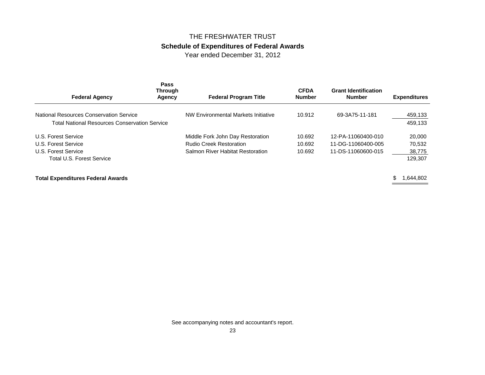## THE FRESHWATER TRUST**Schedule of Expenditures of Federal Awards** Year ended December 31, 2012

| <b>Federal Agency</b>                                                                           | Pass<br><b>Through</b><br>Agency | <b>Federal Program Title</b>                                                                           | <b>CFDA</b><br><b>Number</b> | <b>Grant Identification</b><br><b>Number</b>                   | <b>Expenditures</b>                   |
|-------------------------------------------------------------------------------------------------|----------------------------------|--------------------------------------------------------------------------------------------------------|------------------------------|----------------------------------------------------------------|---------------------------------------|
| National Resources Conservation Service<br><b>Total National Resources Conservation Service</b> |                                  | NW Environmental Markets Initiative                                                                    | 10.912                       | 69-3A75-11-181                                                 | 459,133<br>459,133                    |
| U.S. Forest Service<br>U.S. Forest Service<br>U.S. Forest Service<br>Total U.S. Forest Service  |                                  | Middle Fork John Day Restoration<br><b>Rudio Creek Restoration</b><br>Salmon River Habitat Restoration | 10.692<br>10.692<br>10.692   | 12-PA-11060400-010<br>11-DG-11060400-005<br>11-DS-11060600-015 | 20,000<br>70.532<br>38,775<br>129,307 |
| <b>Total Expenditures Federal Awards</b>                                                        |                                  |                                                                                                        |                              |                                                                | \$<br>1.644.802                       |

See accompanying notes and accountant's report.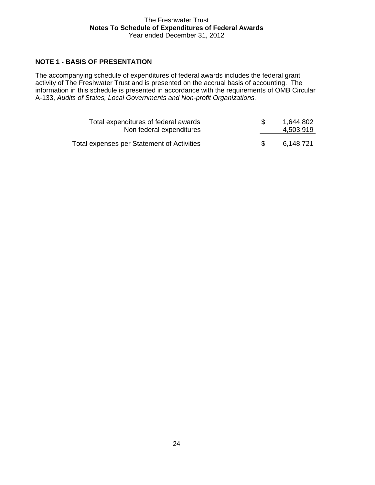### **NOTE 1 - BASIS OF PRESENTATION**

The accompanying schedule of expenditures of federal awards includes the federal grant activity of The Freshwater Trust and is presented on the accrual basis of accounting. The information in this schedule is presented in accordance with the requirements of OMB Circular A-133, *Audits of States, Local Governments and Non-profit Organizations.*

| Total expenditures of federal awards<br>Non federal expenditures | 1,644,802<br>4,503,919 |
|------------------------------------------------------------------|------------------------|
| Total expenses per Statement of Activities                       | <u>6.148.721</u>       |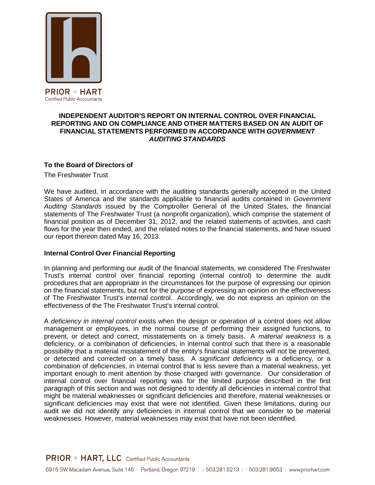

### **INDEPENDENT AUDITOR'S REPORT ON INTERNAL CONTROL OVER FINANCIAL REPORTING AND ON COMPLIANCE AND OTHER MATTERS BASED ON AN AUDIT OF FINANCIAL STATEMENTS PERFORMED IN ACCORDANCE WITH** *GOVERNMENT AUDITING STANDARDS*

### **To the Board of Directors of**

The Freshwater Trust

We have audited, in accordance with the auditing standards generally accepted in the United States of America and the standards applicable to financial audits contained in *Government Auditng Standards* issued by the Comptroller General of the United States, the financial statements of The Freshwater Trust (a nonprofit organization), which comprise the statement of financial position as of December 31, 2012, and the related statements of activities, and cash flows for the year then ended, and the related notes to the financial statements, and have issued our report thereon dated May 16, 2013.

### **Internal Control Over Financial Reporting**

In planning and performing our audit of the financial statements, we considered The Freshwater Trust's internal control over financial reporting (internal control) to determine the audit procedures that are appropriate in the circumstances for the purpose of expressing our opinion on the financial statements, but not for the purpose of expressing an opinion on the effectiveness of The Freshwater Trust's internal control. Accordingly, we do not express an opinion on the effectiveness of the The Freshwater Trust's internal control.

A *deficiency in internal control* exists when the design or operation of a control does not allow management or employees, in the normal course of performing their assigned functions, to prevent, or detect and correct, misstatements on a timely basis. A *material weakness* is a deficiency, or a combination of deficiencies, in internal control such that there is a reasonable possibility that a material misstatement of the entity's financial statements will not be prevented, or detected and corrected on a timely basis. A *significant deficiency* is a deficiency, or a combination of deficiencies, in internal control that is less severe than a material weakness, yet important enough to merit attention by those charged with governance. Our consideration of internal control over financial reporting was for the limited purpose described in the first paragraph of this section and was not designed to identify all deficiencies in internal control that might be material weaknesses or significant deficiencies and therefore, material weaknesses or significant deficiencies may exist that were not identified. Given these limitations, during our audit we did not identify any deficiencies in internal control that we consider to be material weaknesses. However, material weaknesses may exist that have not been identified.

**PRIOR + HART, LLC** Certified Public Accountants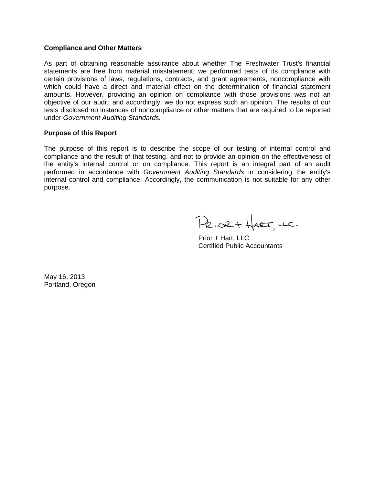### **Compliance and Other Matters**

As part of obtaining reasonable assurance about whether The Freshwater Trust's financial statements are free from material misstatement, we performed tests of its compliance with certain provisions of laws, regulations, contracts, and grant agreements, noncompliance with which could have a direct and material effect on the determination of financial statement amounts. However, providing an opinion on compliance with those provisions was not an objective of our audit, and accordingly, we do not express such an opinion. The results of our tests disclosed no instances of noncompliance or other matters that are required to be reported under *Government Auditing Standards.*

#### **Purpose of this Report**

The purpose of this report is to describe the scope of our testing of internal control and compliance and the result of that testing, and not to provide an opinion on the effectiveness of the entity's internal control or on compliance. This report is an integral part of an audit performed in accordance with *Government Auditing Standards* in considering the entity's internal control and compliance. Accordingly, the communication is not suitable for any other purpose.

PRIOR + HART, LLC

Certified Public Accountants

May 16, 2013 Portland, Oregon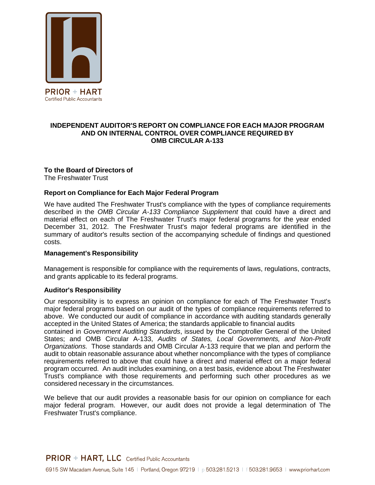

### **INDEPENDENT AUDITOR'S REPORT ON COMPLIANCE FOR EACH MAJOR PROGRAM AND ON INTERNAL CONTROL OVER COMPLIANCE REQUIRED BY OMB CIRCULAR A-133**

### **To the Board of Directors of**

The Freshwater Trust

### **Report on Compliance for Each Major Federal Program**

We have audited The Freshwater Trust's compliance with the types of compliance requirements described in the *OMB Circular A-133 Compliance Supplement* that could have a direct and material effect on each of The Freshwater Trust's major federal programs for the year ended December 31, 2012. The Freshwater Trust's major federal programs are identified in the summary of auditor's results section of the accompanying schedule of findings and questioned costs.

#### **Management's Responsibility**

Management is responsible for compliance with the requirements of laws, regulations, contracts, and grants applicable to its federal programs.

### **Auditor's Responsibility**

Our responsibility is to express an opinion on compliance for each of The Freshwater Trust's major federal programs based on our audit of the types of compliance requirements referred to above. We conducted our audit of compliance in accordance with auditing standards generally accepted in the United States of America; the standards applicable to financial audits contained in *Government Auditing Standards*, issued by the Comptroller General of the United States; and OMB Circular A-133, *Audits of States, Local Governments, and Non-Profit Organizations.* Those standards and OMB Circular A-133 require that we plan and perform the audit to obtain reasonable assurance about whether noncompliance with the types of compliance requirements referred to above that could have a direct and material effect on a major federal program occurred. An audit includes examining, on a test basis, evidence about The Freshwater Trust's compliance with those requirements and performing such other procedures as we considered necessary in the circumstances.

We believe that our audit provides a reasonable basis for our opinion on compliance for each major federal program. However, our audit does not provide a legal determination of The Freshwater Trust's compliance.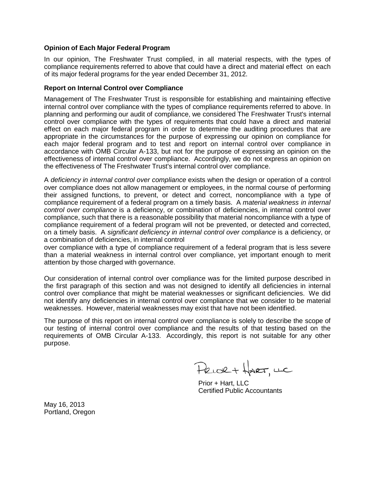### **Opinion of Each Major Federal Program**

In our opinion, The Freshwater Trust complied, in all material respects, with the types of compliance requirements referred to above that could have a direct and material effect on each of its major federal programs for the year ended December 31, 2012.

### **Report on Internal Control over Compliance**

Management of The Freshwater Trust is responsible for establishing and maintaining effective internal control over compliance with the types of compliance requirements referred to above. In planning and performing our audit of compliance, we considered The Freshwater Trust's internal control over compliance with the types of requirements that could have a direct and material effect on each major federal program in order to determine the auditing procedures that are appropriate in the circumstances for the purpose of expressing our opinion on compliance for each major federal program and to test and report on internal control over compliance in accordance with OMB Circular A-133, but not for the purpose of expressing an opinion on the effectiveness of internal control over compliance. Accordingly, we do not express an opinion on the effectiveness of The Freshwater Trust's internal control over compliance.

A *deficiency in internal control over compliance* exists when the design or operation of a control over compliance does not allow management or employees, in the normal course of performing their assigned functions, to prevent, or detect and correct, noncompliance with a type of compliance requirement of a federal program on a timely basis. A *material weakness in internal control over compliance* is a deficiency, or combination of deficiencies, in internal control over compliance, such that there is a reasonable possibility that material noncompliance with a type of compliance requirement of a federal program will not be prevented, or detected and corrected, on a timely basis. A *significant deficiency in internal control over compliance* is a deficiency, or a combination of deficiencies, in internal control

over compliance with a type of compliance requirement of a federal program that is less severe than a material weakness in internal control over compliance, yet important enough to merit attention by those charged with governance.

Our consideration of internal control over compliance was for the limited purpose described in the first paragraph of this section and was not designed to identify all deficiencies in internal control over compliance that might be material weaknesses or significant deficiencies. We did not identify any deficiencies in internal control over compliance that we consider to be material weaknesses. However, material weaknesses may exist that have not been identified.

The purpose of this report on internal control over compliance is solely to describe the scope of our testing of internal control over compliance and the results of that testing based on the requirements of OMB Circular A-133. Accordingly, this report is not suitable for any other purpose.

PRIOR + HART, LLC<br>Prior + Hart, LLC

Certified Public Accountants

May 16, 2013 Portland, Oregon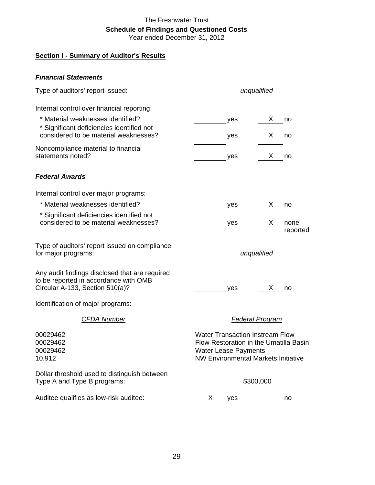# The Freshwater Trust **Schedule of Findings and Questioned Costs**

Year ended December 31, 2012

## **Section I - Summary of Auditor's Results**

### *Financial Statements*

| Type of auditors' report issued:                                                                                           | unqualified                                                                                                                                                   |                        |  |  |
|----------------------------------------------------------------------------------------------------------------------------|---------------------------------------------------------------------------------------------------------------------------------------------------------------|------------------------|--|--|
| Internal control over financial reporting:<br>* Material weaknesses identified?                                            | yes                                                                                                                                                           | X<br>no                |  |  |
| Significant deficiencies identified not<br>considered to be material weaknesses?                                           | yes                                                                                                                                                           | X<br>no                |  |  |
| Noncompliance material to financial<br>statements noted?                                                                   | yes                                                                                                                                                           | X<br>no                |  |  |
| <b>Federal Awards</b>                                                                                                      |                                                                                                                                                               |                        |  |  |
| Internal control over major programs:                                                                                      |                                                                                                                                                               |                        |  |  |
| * Material weaknesses identified?                                                                                          | yes                                                                                                                                                           | X<br>no                |  |  |
| * Significant deficiencies identified not<br>considered to be material weaknesses?                                         | yes                                                                                                                                                           | X<br>none<br>reported  |  |  |
| Type of auditors' report issued on compliance<br>for major programs:                                                       | unqualified                                                                                                                                                   |                        |  |  |
| Any audit findings disclosed that are required<br>to be reported in accordance with OMB<br>Circular A-133, Section 510(a)? | yes                                                                                                                                                           | X<br>no                |  |  |
| Identification of major programs:                                                                                          |                                                                                                                                                               |                        |  |  |
| <b>CFDA Number</b>                                                                                                         |                                                                                                                                                               | <b>Federal Program</b> |  |  |
| 00029462<br>00029462<br>00029462<br>10.912                                                                                 | <b>Water Transaction Instream Flow</b><br>Flow Restoration in the Umatilla Basin<br><b>Water Lease Payments</b><br><b>NW Environmental Markets Initiative</b> |                        |  |  |
| Dollar threshold used to distinguish between<br>Type A and Type B programs:                                                | \$300,000                                                                                                                                                     |                        |  |  |
| Auditee qualifies as low-risk auditee:                                                                                     | X<br>yes                                                                                                                                                      | no                     |  |  |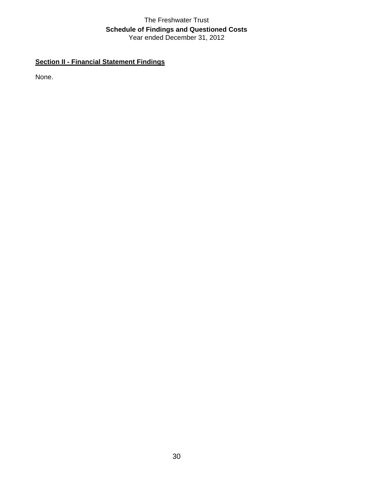## The Freshwater Trust **Schedule of Findings and Questioned Costs** Year ended December 31, 2012

## **Section II - Financial Statement Findings**

None.